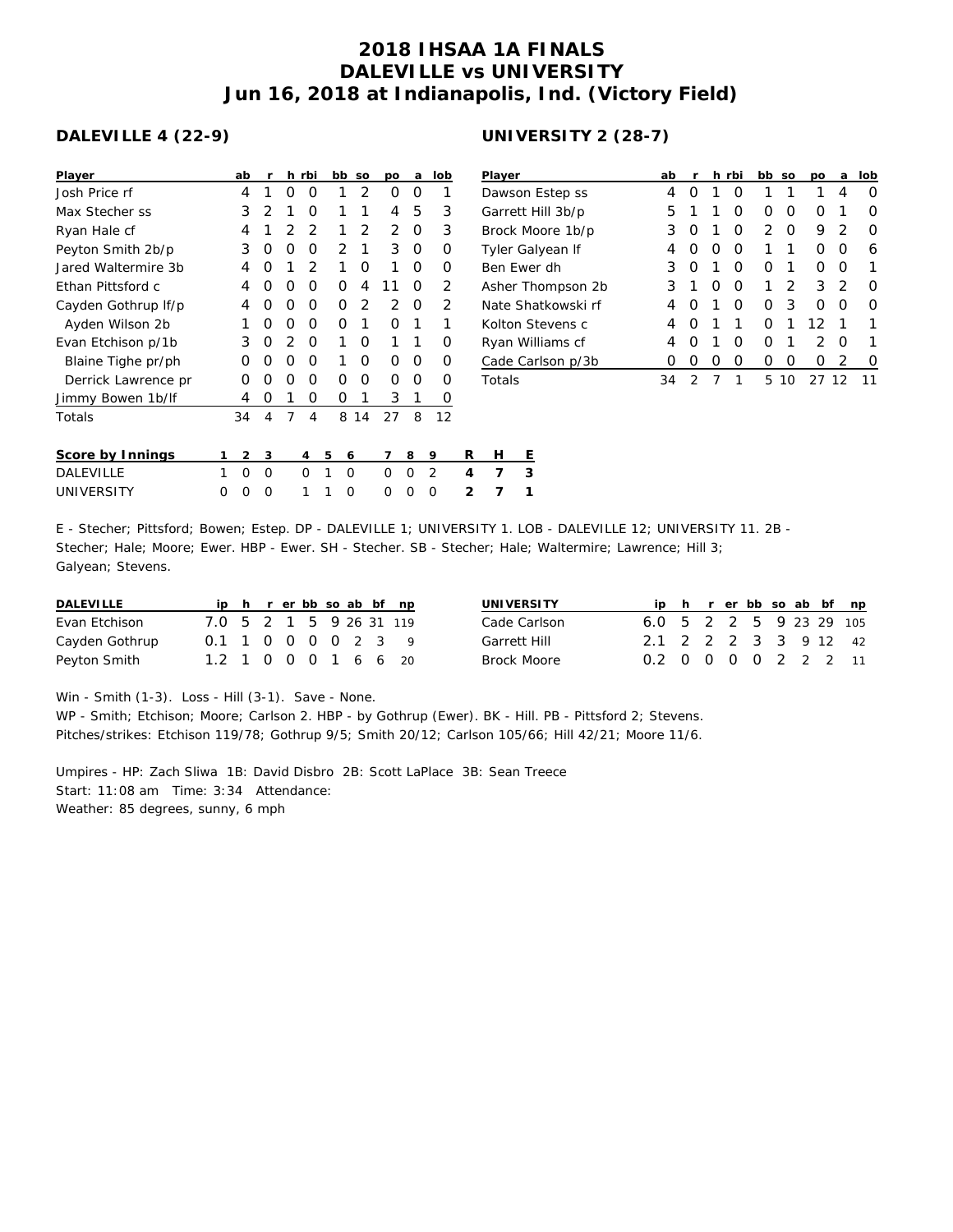## **2018 IHSAA 1A FINALS DALEVILLE vs UNIVERSITY Jun 16, 2018 at Indianapolis, Ind. (Victory Field)**

## **DALEVILLE 4 (22-9)**

| Player              |   | ab       | r |          | h rbi          |   | bb       | SO             | po            | a | lob |                | Player          |   |  |  |  |  |
|---------------------|---|----------|---|----------|----------------|---|----------|----------------|---------------|---|-----|----------------|-----------------|---|--|--|--|--|
| Josh Price rf       |   | 4        | 1 | O        | O              |   | 1        | $\overline{2}$ | O             | O | 1   |                | Dawson          |   |  |  |  |  |
| Max Stecher ss      |   | 3        | 2 | 1        | O              |   | 1        | 1              | 4             | 5 | 3   |                | Garrett I       |   |  |  |  |  |
| Ryan Hale cf        |   | 4        | 1 | 2        | $\overline{2}$ |   | 1        | 2              | 2             | O | 3   |                | Brock M         |   |  |  |  |  |
| Peyton Smith 2b/p   |   | 3        | O | 0        | 0              |   | 2        | 1              | 3             | 0 | Ο   |                | <b>Tyler Ga</b> |   |  |  |  |  |
| Jared Waltermire 3b |   | 4        | Ω | 1        | $\overline{2}$ |   | 1        | O              | 1             | O | Ο   |                | Ben Ewe         |   |  |  |  |  |
| Ethan Pittsford c   |   | 4        | Ω | O        | O              |   | O        | 4              | 11            | O | 2   |                | Asher Th        |   |  |  |  |  |
| Cayden Gothrup If/p |   | 4        | Ω | O        | O              |   | O        | $\overline{2}$ | $\mathcal{P}$ | O | 2   |                | Nate Sha        |   |  |  |  |  |
| Ayden Wilson 2b     |   | 1        | O | O        | O              |   | O        | 1              | O             | 1 | 1   |                | Kolton S        |   |  |  |  |  |
| Evan Etchison p/1b  |   | 3        | Ω | 2        | 0              |   | 1        | O              | 1             | 1 | O   |                | Ryan Wi         |   |  |  |  |  |
| Blaine Tighe pr/ph  |   | O        | Ο | $\Omega$ | 0              |   | 1        | O              | O             | 0 | Ο   |                | Cade Ca         |   |  |  |  |  |
| Derrick Lawrence pr |   | O        | Ω | O        | O              |   | O        | O              | O             | O | O   |                | Totals          |   |  |  |  |  |
| Jimmy Bowen 1b/lf   |   | 4        | O |          | O              |   | O        | 1              | 3             | 1 | O   |                |                 |   |  |  |  |  |
| Totals              |   | 34       | 4 | 7        | 4              |   | 8        | 14             | 27            | 8 | 12  |                |                 |   |  |  |  |  |
| Score by Innings    | 1 | 2        | 3 |          | 4              | 5 | 6        |                | 7             | 8 | 9   | R              | н               | Ε |  |  |  |  |
| <b>DALEVILLE</b>    | 1 | $\Omega$ | O |          | O              | 1 | O        |                | O             | O | 2   | 4              | 7               | 3 |  |  |  |  |
| UNIVERSITY          | Ο | O        | O |          | 1              | 1 | $\Omega$ |                | Ω             | Ω | Ω   | $\overline{2}$ | 7               | 1 |  |  |  |  |

## **UNIVERSITY 2 (28-7)**

| Player             | ab               | r                | h.               | rbi              | bb               | <b>SO</b>        | DО               | a             | lob              |
|--------------------|------------------|------------------|------------------|------------------|------------------|------------------|------------------|---------------|------------------|
| Dawson Estep ss    | 4                | $\left( \right)$ | 1                | $\left( \right)$ | 1                | 1                | 1                | 4             | $\left( \right)$ |
| Garrett Hill 3b/p  | 5                | 1                | 1                | $\left( \right)$ | $\left( \right)$ | $\left( \right)$ | $\left( \right)$ |               | $\left( \right)$ |
| Brock Moore 1b/p   | 3                | $\left( \right)$ | 1                | Ω                | 2                | Ω                | 9                | 2             | Ω                |
| Tyler Galyean If   | 4                | $\left( \right)$ | O                | O                | 1                | 1                | Ω                | O             | 6                |
| Ben Ewer dh        | 3                | O                | 1                | O                | Ω                | 1                | Ω                | O             | 1                |
| Asher Thompson 2b  | 3                | 1                | Ω                | O                | 1                | $\mathcal{P}$    | 3                | $\mathcal{D}$ | Ω                |
| Nate Shatkowski rf | 4                | O                | 1                | ∩                | Ω                | 3                | Ω                | Ω             | Ω                |
| Kolton Stevens c   | 4                | O                | 1                | 1                | Ω                | 1                | 12               |               |                  |
| Ryan Williams cf   | 4                | O                | 1                | Ω                | O                | 1                | っ                | O             |                  |
| Cade Carlson p/3b  | $\left( \right)$ | $\left( \right)$ | $\left( \right)$ | $\left( \right)$ | $\left( \right)$ | Ω                | $\left( \right)$ | 2             | 0                |
| Totals             | 34               | っ                | 7                |                  | 5                | 10               | 27               |               |                  |

| UNIVERSITY |  |  |  |  | 0 0 0 1 1 0 0 0 0 2 7 1 |                                                                                                               |
|------------|--|--|--|--|-------------------------|---------------------------------------------------------------------------------------------------------------|
|            |  |  |  |  |                         |                                                                                                               |
|            |  |  |  |  |                         | E - Stecher; Pittsford; Bowen; Estep. DP - DALEVILLE 1; UNIVERSITY 1. LOB - DALEVILLE 12; UNIVERSITY 11. 2B - |
|            |  |  |  |  |                         | Stecher; Hale; Moore; Ewer. HBP - Ewer. SH - Stecher. SB - Stecher; Hale; Waltermire; Lawrence; Hill 3;       |

Galyean; Stevens.

| DALEVILLE      |                         |  |  |  | ip h r er bb so ab bf np |  | UNIVERSITY   |                         |  |  |  | ip h r er bb so ab bf np |
|----------------|-------------------------|--|--|--|--------------------------|--|--------------|-------------------------|--|--|--|--------------------------|
| Evan Etchison  | 7.0 5 2 1 5 9 26 31 119 |  |  |  |                          |  | Cade Carlson | 6.0 5 2 2 5 9 23 29 105 |  |  |  |                          |
| Cayden Gothrup | 0.1 1 0 0 0 0 2 3 9     |  |  |  |                          |  | Garrett Hill | 2.1 2 2 2 3 3 9 12 42   |  |  |  |                          |
| Peyton Smith   | 1.2 1 0 0 0 1 6 6 20    |  |  |  |                          |  | Brock Moore  | 0.2 0 0 0 0 2 2 2 11    |  |  |  |                          |

Win - Smith (1-3). Loss - Hill (3-1). Save - None.

WP - Smith; Etchison; Moore; Carlson 2. HBP - by Gothrup (Ewer). BK - Hill. PB - Pittsford 2; Stevens. Pitches/strikes: Etchison 119/78; Gothrup 9/5; Smith 20/12; Carlson 105/66; Hill 42/21; Moore 11/6.

Umpires - HP: Zach Sliwa 1B: David Disbro 2B: Scott LaPlace 3B: Sean Treece Start: 11:08 am Time: 3:34 Attendance: Weather: 85 degrees, sunny, 6 mph